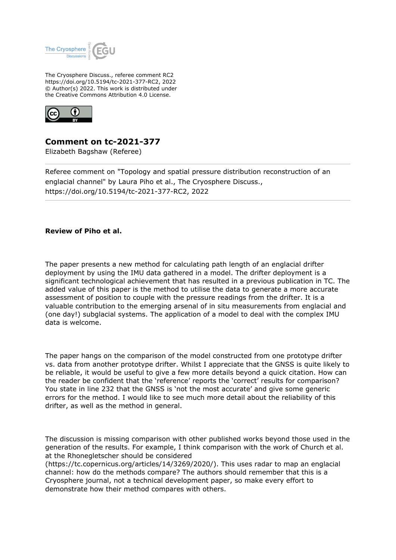

The Cryosphere Discuss., referee comment RC2 https://doi.org/10.5194/tc-2021-377-RC2, 2022 © Author(s) 2022. This work is distributed under the Creative Commons Attribution 4.0 License.



**Comment on tc-2021-377**

Elizabeth Bagshaw (Referee)

Referee comment on "Topology and spatial pressure distribution reconstruction of an englacial channel" by Laura Piho et al., The Cryosphere Discuss., https://doi.org/10.5194/tc-2021-377-RC2, 2022

## **Review of Piho et al.**

The paper presents a new method for calculating path length of an englacial drifter deployment by using the IMU data gathered in a model. The drifter deployment is a significant technological achievement that has resulted in a previous publication in TC. The added value of this paper is the method to utilise the data to generate a more accurate assessment of position to couple with the pressure readings from the drifter. It is a valuable contribution to the emerging arsenal of in situ measurements from englacial and (one day!) subglacial systems. The application of a model to deal with the complex IMU data is welcome.

The paper hangs on the comparison of the model constructed from one prototype drifter vs. data from another prototype drifter. Whilst I appreciate that the GNSS is quite likely to be reliable, it would be useful to give a few more details beyond a quick citation. How can the reader be confident that the 'reference' reports the 'correct' results for comparison? You state in line 232 that the GNSS is 'not the most accurate' and give some generic errors for the method. I would like to see much more detail about the reliability of this drifter, as well as the method in general.

The discussion is missing comparison with other published works beyond those used in the generation of the results. For example, I think comparison with the work of Church et al. at the Rhonegletscher should be considered

(https://tc.copernicus.org/articles/14/3269/2020/). This uses radar to map an englacial channel: how do the methods compare? The authors should remember that this is a Cryosphere journal, not a technical development paper, so make every effort to demonstrate how their method compares with others.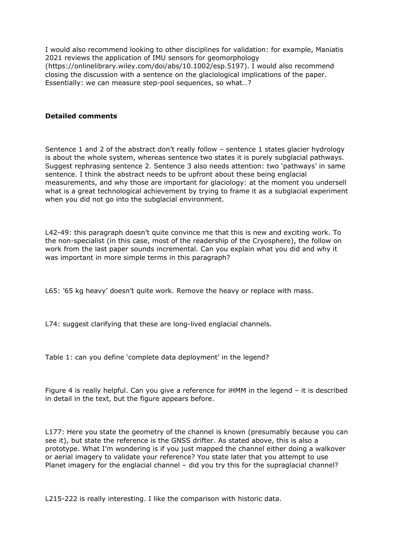I would also recommend looking to other disciplines for validation: for example, Maniatis 2021 reviews the application of IMU sensors for geomorphology (https://onlinelibrary.wiley.com/doi/abs/10.1002/esp.5197). I would also recommend closing the discussion with a sentence on the glaciological implications of the paper. Essentially: we can measure step-pool sequences, so what…?

## **Detailed comments**

Sentence 1 and 2 of the abstract don't really follow – sentence 1 states glacier hydrology is about the whole system, whereas sentence two states it is purely subglacial pathways. Suggest rephrasing sentence 2. Sentence 3 also needs attention: two 'pathways' in same sentence. I think the abstract needs to be upfront about these being englacial measurements, and why those are important for glaciology: at the moment you undersell what is a great technological achievement by trying to frame it as a subglacial experiment when you did not go into the subglacial environment.

L42-49: this paragraph doesn't quite convince me that this is new and exciting work. To the non-specialist (in this case, most of the readership of the Cryosphere), the follow on work from the last paper sounds incremental. Can you explain what you did and why it was important in more simple terms in this paragraph?

L65: '65 kg heavy' doesn't quite work. Remove the heavy or replace with mass.

L74: suggest clarifying that these are long-lived englacial channels.

Table 1: can you define 'complete data deployment' in the legend?

Figure 4 is really helpful. Can you give a reference for iHMM in the legend – it is described in detail in the text, but the figure appears before.

L177: Here you state the geometry of the channel is known (presumably because you can see it), but state the reference is the GNSS drifter. As stated above, this is also a prototype. What I'm wondering is if you just mapped the channel either doing a walkover or aerial imagery to validate your reference? You state later that you attempt to use Planet imagery for the englacial channel – did you try this for the supraglacial channel?

L215-222 is really interesting. I like the comparison with historic data.